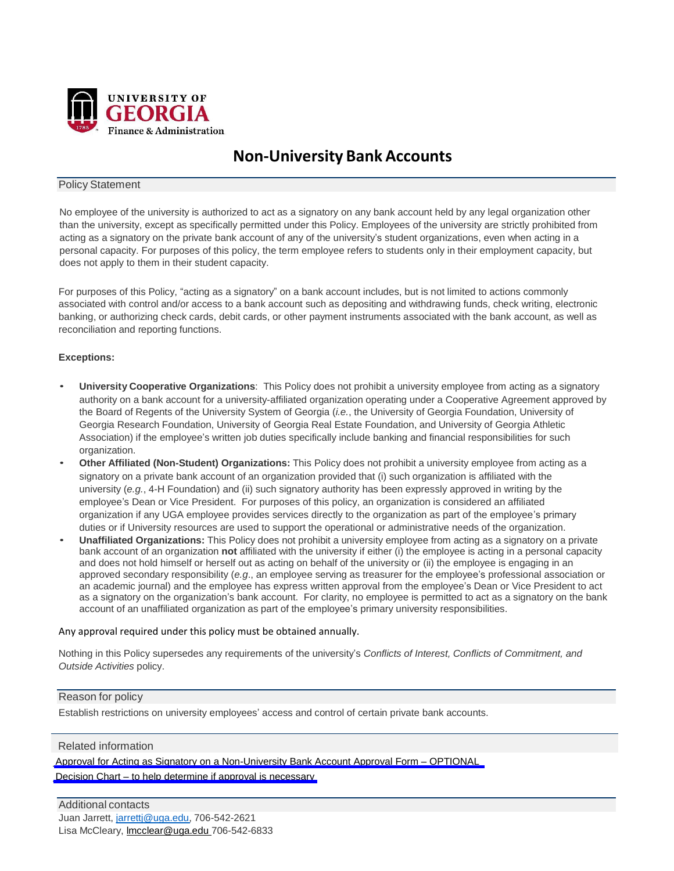

# **Non-University Bank Accounts**

## Policy Statement

No employee of the university is authorized to act as a signatory on any bank account held by any legal organization other than the university, except as specifically permitted under this Policy. Employees of the university are strictly prohibited from acting as a signatory on the private bank account of any of the university's student organizations, even when acting in a personal capacity. For purposes of this policy, the term employee refers to students only in their employment capacity, but does not apply to them in their student capacity.

For purposes of this Policy, "acting as a signatory" on a bank account includes, but is not limited to actions commonly associated with control and/or access to a bank account such as depositing and withdrawing funds, check writing, electronic banking, or authorizing check cards, debit cards, or other payment instruments associated with the bank account, as well as reconciliation and reporting functions.

#### **Exceptions:**

- **University Cooperative Organizations**: This Policy does not prohibit a university employee from acting as a signatory authority on a bank account for a university-affiliated organization operating under a Cooperative Agreement approved by the Board of Regents of the University System of Georgia (*i.e.*, the University of Georgia Foundation, University of Georgia Research Foundation, University of Georgia Real Estate Foundation, and University of Georgia Athletic Association) if the employee's written job duties specifically include banking and financial responsibilities for such organization.
- **Other Affiliated (Non-Student) Organizations:** This Policy does not prohibit a university employee from acting as a signatory on a private bank account of an organization provided that (i) such organization is affiliated with the university (*e.g.*, 4-H Foundation) and (ii) such signatory authority has been expressly approved in writing by the employee's Dean or Vice President. For purposes of this policy, an organization is considered an affiliated organization if any UGA employee provides services directly to the organization as part of the employee's primary duties or if University resources are used to support the operational or administrative needs of the organization.
- **Unaffiliated Organizations:** This Policy does not prohibit a university employee from acting as a signatory on a private bank account of an organization **not** affiliated with the university if either (i) the employee is acting in a personal capacity and does not hold himself or herself out as acting on behalf of the university or (ii) the employee is engaging in an approved secondary responsibility (*e.g*., an employee serving as treasurer for the employee's professional association or an academic journal) and the employee has express written approval from the employee's Dean or Vice President to act as a signatory on the organization's bank account. For clarity, no employee is permitted to act as a signatory on the bank account of an unaffiliated organization as part of the employee's primary university responsibilities.

#### Any approval required under this policy must be obtained annually.

Nothing in this Policy supersedes any requirements of the university's *Conflicts of Interest, Conflicts of Commitment, and Outside Activities* policy.

#### Reason for policy

Establish restrictions on university employees' access and control of certain private bank accounts.

### Related information

Approval for Acting as Signatory on a [Non-University](https://policies.uga.edu/pdf/FINAL_approval_for_acting_as_signatory_on_a_non_university_bank_account.pdf) Bank Account Approval Form – OPTIONAL

Decision Chart – to help determine if approval is [necessary](https://policies.uga.edu/pdf/FINAL_CHART_Non_University_Bank_Accounts_Policy2.pdf)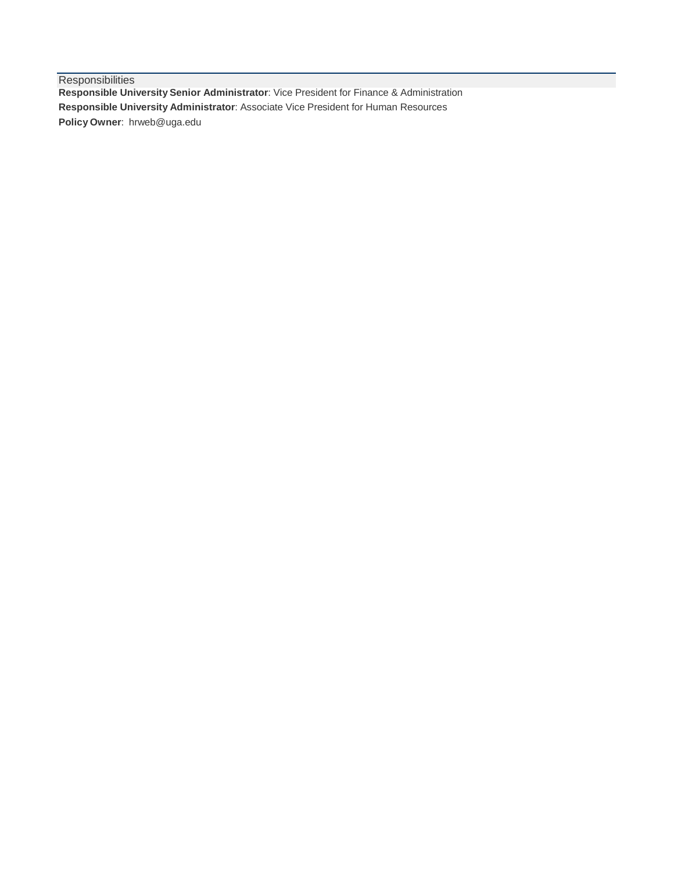**Responsibilities Responsible University Senior Administrator**: Vice President for Finance & Administration **Responsible University Administrator**: Associate Vice President for Human Resources **Policy Owner**: [hrweb@uga.edu](mailto:hrweb@uga.edu)